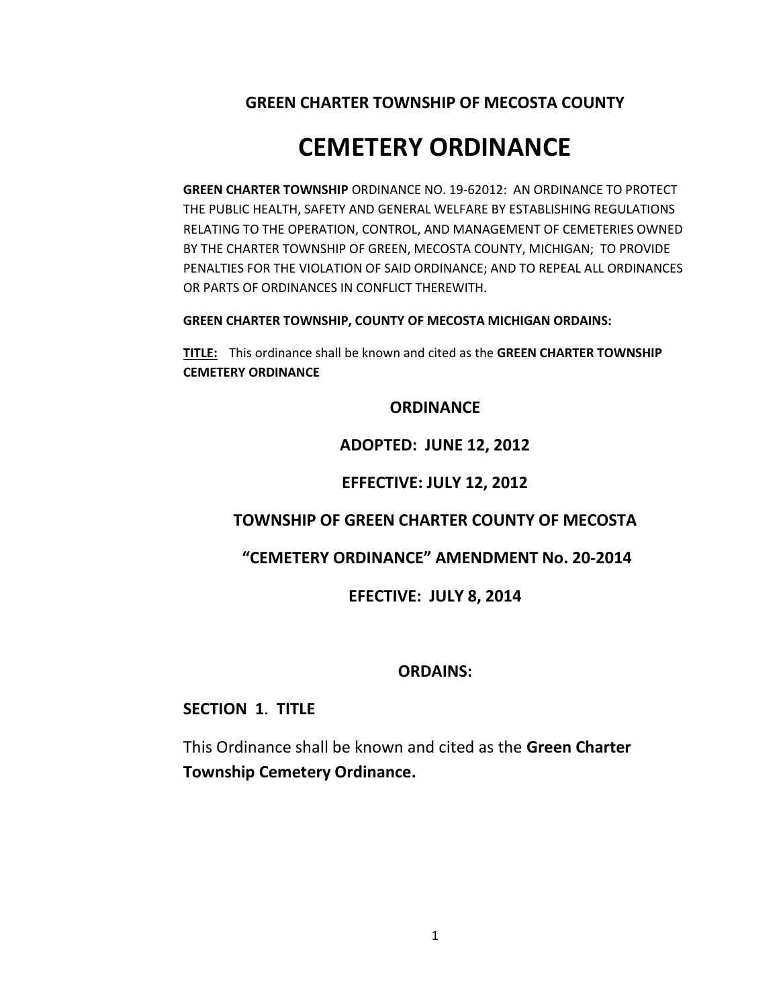**GREEN CHARTER TOWNSHIP OF MECOSTA COUNTY**

# **CEMETERY ORDINANCE**

**GREEN CHARTER TOWNSHIP** ORDINANCE NO. 19-62012: AN ORDINANCE TO PROTECT THE PUBLIC HEALTH, SAFETY AND GENERAL WELFARE BY ESTABLISHING REGULATIONS RELATING TO THE OPERATION, CONTROL, AND MANAGEMENT OF CEMETERIES OWNED BY THE CHARTER TOWNSHIP OF GREEN, MECOSTA COUNTY, MICHIGAN; TO PROVIDE PENALTIES FOR THE VIOLATION OF SAID ORDINANCE; AND TO REPEAL ALL ORDINANCES OR PARTS OF ORDINANCES IN CONFLICT THEREWITH.

**GREEN CHARTER TOWNSHIP, COUNTY OF MECOSTA MICHIGAN ORDAINS:**

**TITLE:** This ordinance shall be known and cited as the **GREEN CHARTER TOWNSHIP CEMETERY ORDINANCE**

# **ORDINANCE**

# **ADOPTED: JUNE 12, 2012**

# **EFFECTIVE: JULY 12, 2012**

# **TOWNSHIP OF GREEN CHARTER COUNTY OF MECOSTA**

# **"CEMETERY ORDINANCE" AMENDMENT No. 20-2014**

# **EFECTIVE: JULY 8, 2014**

# **ORDAINS:**

# **SECTION 1**. **TITLE**

This Ordinance shall be known and cited as the **Green Charter Township Cemetery Ordinance.**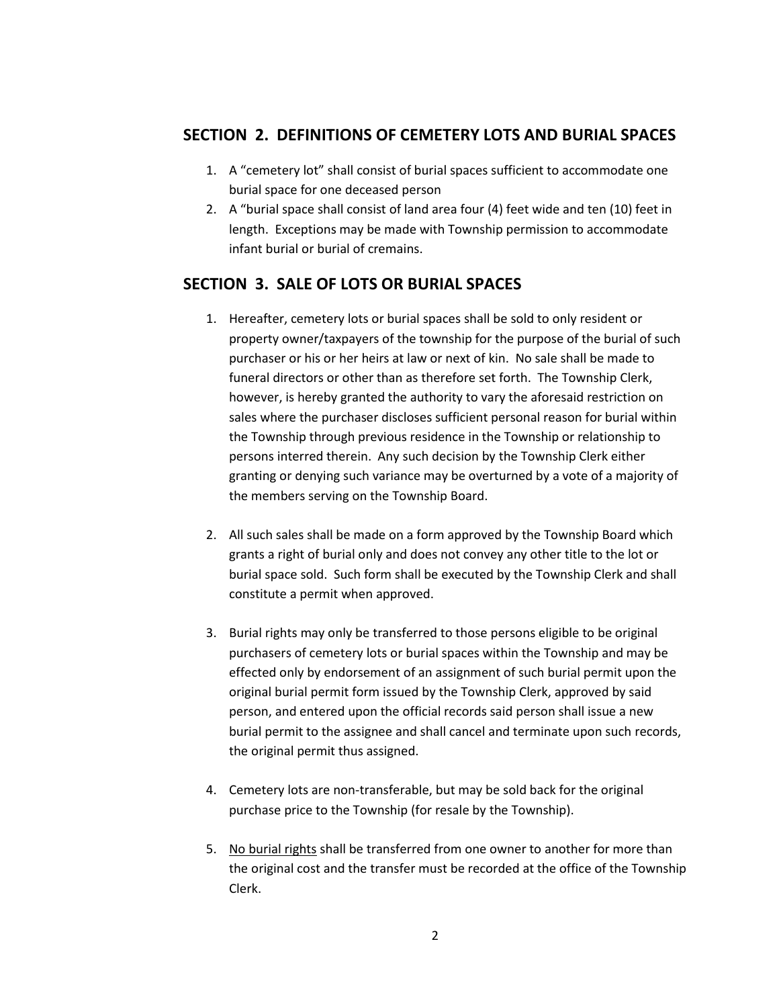# **SECTION 2. DEFINITIONS OF CEMETERY LOTS AND BURIAL SPACES**

- 1. A "cemetery lot" shall consist of burial spaces sufficient to accommodate one burial space for one deceased person
- 2. A "burial space shall consist of land area four (4) feet wide and ten (10) feet in length. Exceptions may be made with Township permission to accommodate infant burial or burial of cremains.

# **SECTION 3. SALE OF LOTS OR BURIAL SPACES**

- 1. Hereafter, cemetery lots or burial spaces shall be sold to only resident or property owner/taxpayers of the township for the purpose of the burial of such purchaser or his or her heirs at law or next of kin. No sale shall be made to funeral directors or other than as therefore set forth. The Township Clerk, however, is hereby granted the authority to vary the aforesaid restriction on sales where the purchaser discloses sufficient personal reason for burial within the Township through previous residence in the Township or relationship to persons interred therein. Any such decision by the Township Clerk either granting or denying such variance may be overturned by a vote of a majority of the members serving on the Township Board.
- 2. All such sales shall be made on a form approved by the Township Board which grants a right of burial only and does not convey any other title to the lot or burial space sold. Such form shall be executed by the Township Clerk and shall constitute a permit when approved.
- 3. Burial rights may only be transferred to those persons eligible to be original purchasers of cemetery lots or burial spaces within the Township and may be effected only by endorsement of an assignment of such burial permit upon the original burial permit form issued by the Township Clerk, approved by said person, and entered upon the official records said person shall issue a new burial permit to the assignee and shall cancel and terminate upon such records, the original permit thus assigned.
- 4. Cemetery lots are non-transferable, but may be sold back for the original purchase price to the Township (for resale by the Township).
- 5. No burial rights shall be transferred from one owner to another for more than the original cost and the transfer must be recorded at the office of the Township Clerk.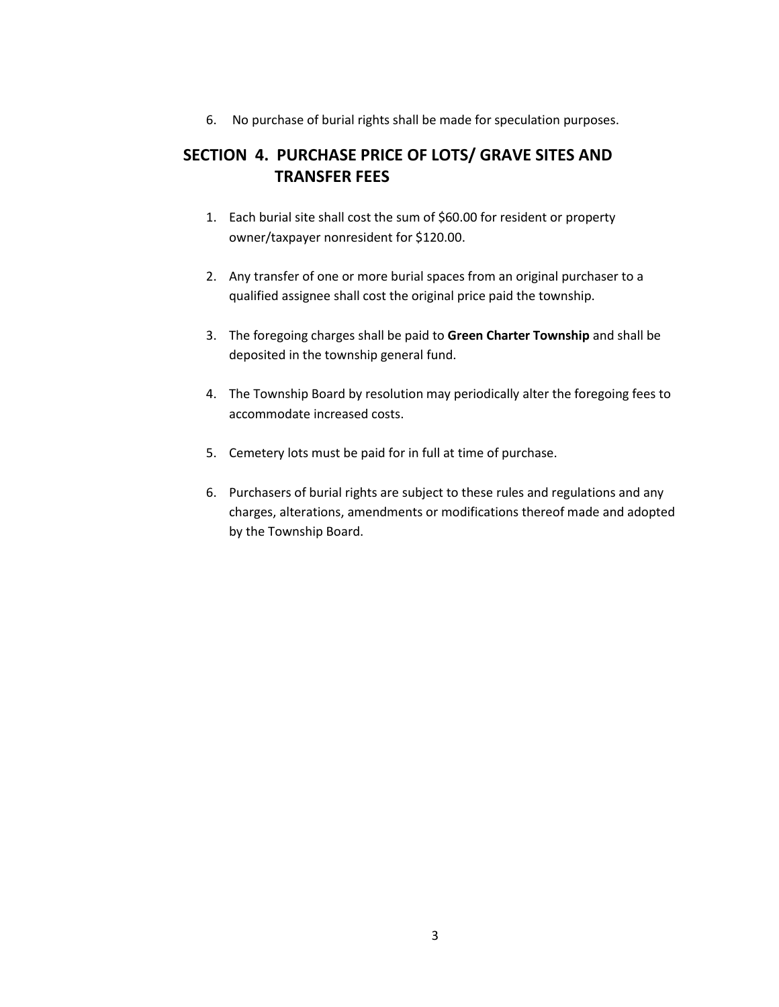6. No purchase of burial rights shall be made for speculation purposes.

# **SECTION 4. PURCHASE PRICE OF LOTS/ GRAVE SITES AND TRANSFER FEES**

- 1. Each burial site shall cost the sum of \$60.00 for resident or property owner/taxpayer nonresident for \$120.00.
- 2. Any transfer of one or more burial spaces from an original purchaser to a qualified assignee shall cost the original price paid the township.
- 3. The foregoing charges shall be paid to **Green Charter Township** and shall be deposited in the township general fund.
- 4. The Township Board by resolution may periodically alter the foregoing fees to accommodate increased costs.
- 5. Cemetery lots must be paid for in full at time of purchase.
- 6. Purchasers of burial rights are subject to these rules and regulations and any charges, alterations, amendments or modifications thereof made and adopted by the Township Board.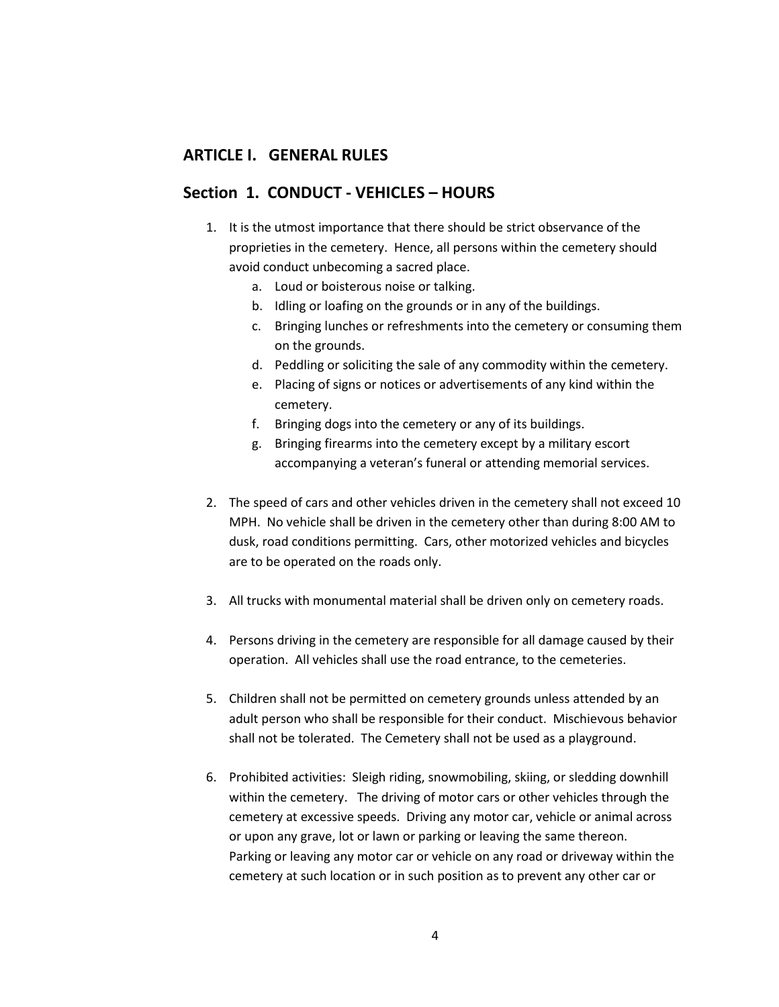# **ARTICLE I. GENERAL RULES**

### **Section 1. CONDUCT - VEHICLES – HOURS**

- 1. It is the utmost importance that there should be strict observance of the proprieties in the cemetery. Hence, all persons within the cemetery should avoid conduct unbecoming a sacred place.
	- a. Loud or boisterous noise or talking.
	- b. Idling or loafing on the grounds or in any of the buildings.
	- c. Bringing lunches or refreshments into the cemetery or consuming them on the grounds.
	- d. Peddling or soliciting the sale of any commodity within the cemetery.
	- e. Placing of signs or notices or advertisements of any kind within the cemetery.
	- f. Bringing dogs into the cemetery or any of its buildings.
	- g. Bringing firearms into the cemetery except by a military escort accompanying a veteran's funeral or attending memorial services.
- 2. The speed of cars and other vehicles driven in the cemetery shall not exceed 10 MPH. No vehicle shall be driven in the cemetery other than during 8:00 AM to dusk, road conditions permitting. Cars, other motorized vehicles and bicycles are to be operated on the roads only.
- 3. All trucks with monumental material shall be driven only on cemetery roads.
- 4. Persons driving in the cemetery are responsible for all damage caused by their operation. All vehicles shall use the road entrance, to the cemeteries.
- 5. Children shall not be permitted on cemetery grounds unless attended by an adult person who shall be responsible for their conduct. Mischievous behavior shall not be tolerated. The Cemetery shall not be used as a playground.
- 6. Prohibited activities: Sleigh riding, snowmobiling, skiing, or sledding downhill within the cemetery. The driving of motor cars or other vehicles through the cemetery at excessive speeds. Driving any motor car, vehicle or animal across or upon any grave, lot or lawn or parking or leaving the same thereon. Parking or leaving any motor car or vehicle on any road or driveway within the cemetery at such location or in such position as to prevent any other car or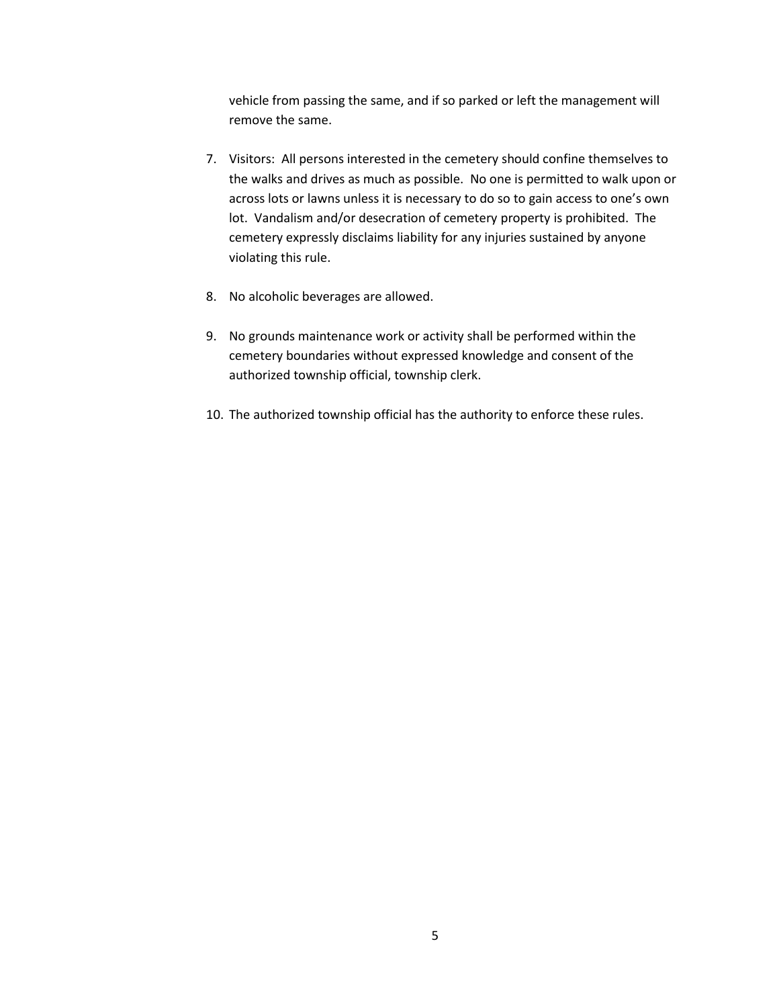vehicle from passing the same, and if so parked or left the management will remove the same.

- 7. Visitors: All persons interested in the cemetery should confine themselves to the walks and drives as much as possible. No one is permitted to walk upon or across lots or lawns unless it is necessary to do so to gain access to one's own lot. Vandalism and/or desecration of cemetery property is prohibited. The cemetery expressly disclaims liability for any injuries sustained by anyone violating this rule.
- 8. No alcoholic beverages are allowed.
- 9. No grounds maintenance work or activity shall be performed within the cemetery boundaries without expressed knowledge and consent of the authorized township official, township clerk.
- 10. The authorized township official has the authority to enforce these rules.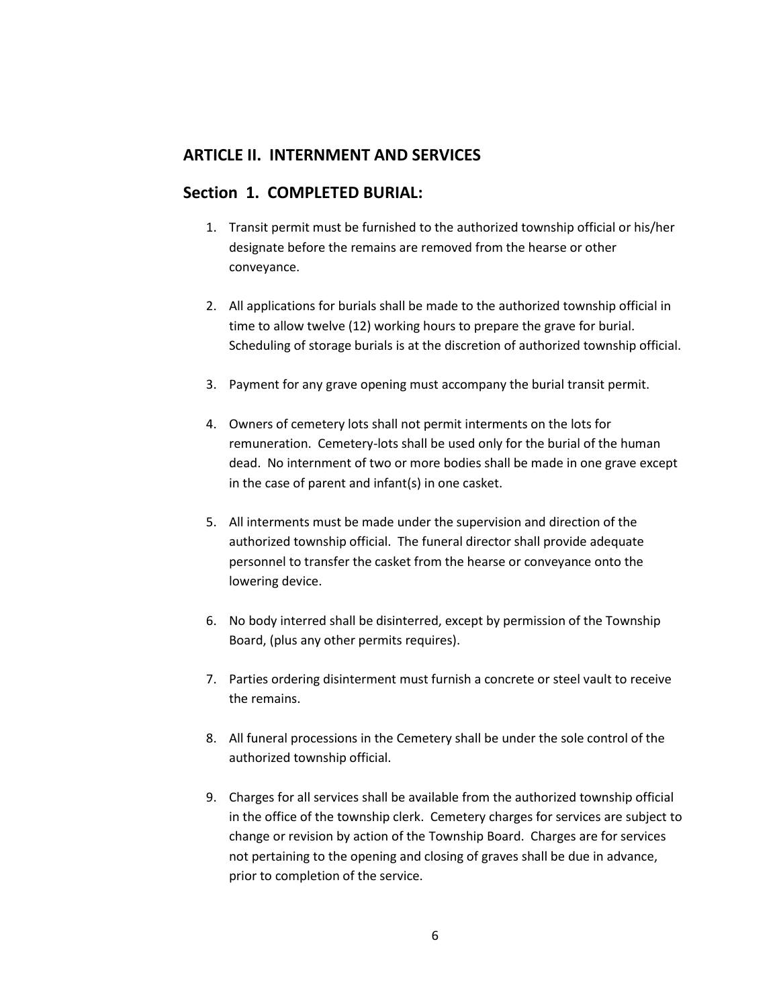# **ARTICLE II. INTERNMENT AND SERVICES**

### **Section 1. COMPLETED BURIAL:**

- 1. Transit permit must be furnished to the authorized township official or his/her designate before the remains are removed from the hearse or other conveyance.
- 2. All applications for burials shall be made to the authorized township official in time to allow twelve (12) working hours to prepare the grave for burial. Scheduling of storage burials is at the discretion of authorized township official.
- 3. Payment for any grave opening must accompany the burial transit permit.
- 4. Owners of cemetery lots shall not permit interments on the lots for remuneration. Cemetery-lots shall be used only for the burial of the human dead. No internment of two or more bodies shall be made in one grave except in the case of parent and infant(s) in one casket.
- 5. All interments must be made under the supervision and direction of the authorized township official. The funeral director shall provide adequate personnel to transfer the casket from the hearse or conveyance onto the lowering device.
- 6. No body interred shall be disinterred, except by permission of the Township Board, (plus any other permits requires).
- 7. Parties ordering disinterment must furnish a concrete or steel vault to receive the remains.
- 8. All funeral processions in the Cemetery shall be under the sole control of the authorized township official.
- 9. Charges for all services shall be available from the authorized township official in the office of the township clerk. Cemetery charges for services are subject to change or revision by action of the Township Board. Charges are for services not pertaining to the opening and closing of graves shall be due in advance, prior to completion of the service.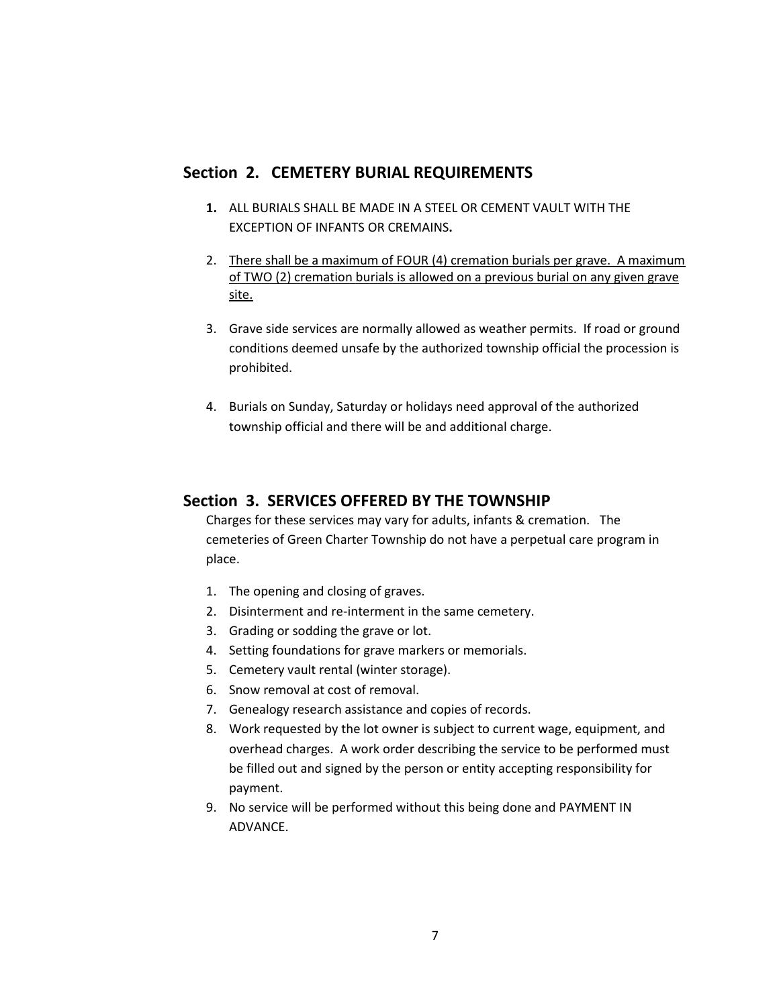# **Section 2. CEMETERY BURIAL REQUIREMENTS**

- **1.** ALL BURIALS SHALL BE MADE IN A STEEL OR CEMENT VAULT WITH THE EXCEPTION OF INFANTS OR CREMAINS**.**
- 2. There shall be a maximum of FOUR (4) cremation burials per grave. A maximum of TWO (2) cremation burials is allowed on a previous burial on any given grave site.
- 3. Grave side services are normally allowed as weather permits. If road or ground conditions deemed unsafe by the authorized township official the procession is prohibited.
- 4. Burials on Sunday, Saturday or holidays need approval of the authorized township official and there will be and additional charge.

### **Section 3. SERVICES OFFERED BY THE TOWNSHIP**

Charges for these services may vary for adults, infants & cremation. The cemeteries of Green Charter Township do not have a perpetual care program in place.

- 1. The opening and closing of graves.
- 2. Disinterment and re-interment in the same cemetery.
- 3. Grading or sodding the grave or lot.
- 4. Setting foundations for grave markers or memorials.
- 5. Cemetery vault rental (winter storage).
- 6. Snow removal at cost of removal.
- 7. Genealogy research assistance and copies of records.
- 8. Work requested by the lot owner is subject to current wage, equipment, and overhead charges. A work order describing the service to be performed must be filled out and signed by the person or entity accepting responsibility for payment.
- 9. No service will be performed without this being done and PAYMENT IN ADVANCE.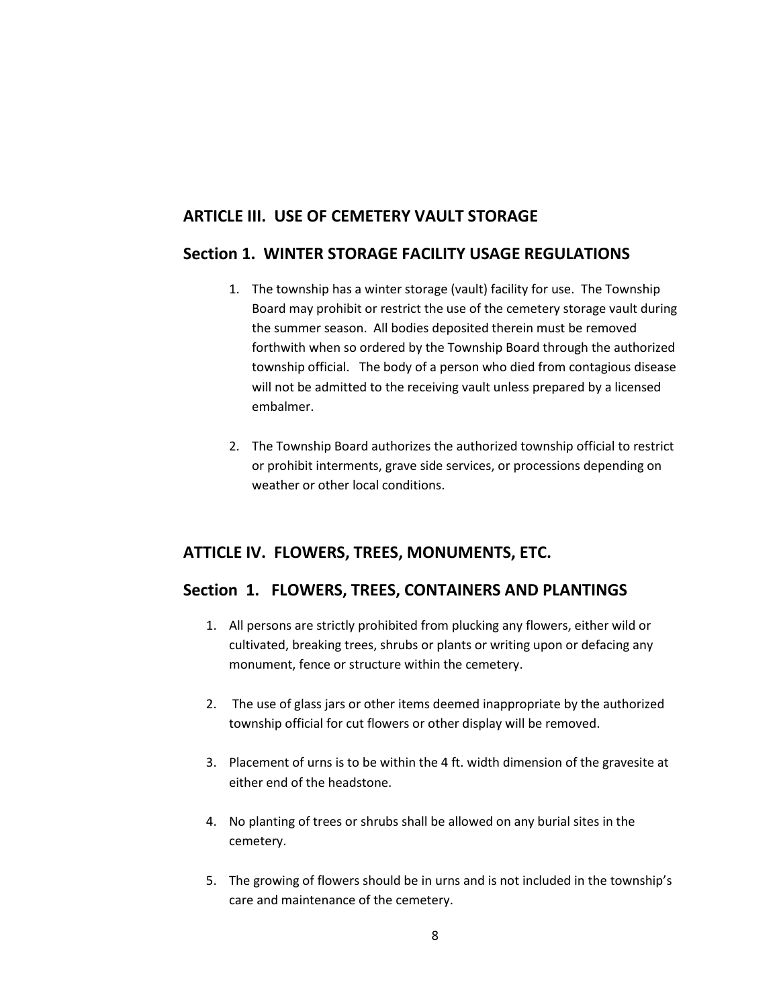# **ARTICLE III. USE OF CEMETERY VAULT STORAGE**

# **Section 1. WINTER STORAGE FACILITY USAGE REGULATIONS**

- 1. The township has a winter storage (vault) facility for use. The Township Board may prohibit or restrict the use of the cemetery storage vault during the summer season. All bodies deposited therein must be removed forthwith when so ordered by the Township Board through the authorized township official. The body of a person who died from contagious disease will not be admitted to the receiving vault unless prepared by a licensed embalmer.
- 2. The Township Board authorizes the authorized township official to restrict or prohibit interments, grave side services, or processions depending on weather or other local conditions.

# **ATTICLE IV. FLOWERS, TREES, MONUMENTS, ETC.**

# **Section 1. FLOWERS, TREES, CONTAINERS AND PLANTINGS**

- 1. All persons are strictly prohibited from plucking any flowers, either wild or cultivated, breaking trees, shrubs or plants or writing upon or defacing any monument, fence or structure within the cemetery.
- 2. The use of glass jars or other items deemed inappropriate by the authorized township official for cut flowers or other display will be removed.
- 3. Placement of urns is to be within the 4 ft. width dimension of the gravesite at either end of the headstone.
- 4. No planting of trees or shrubs shall be allowed on any burial sites in the cemetery.
- 5. The growing of flowers should be in urns and is not included in the township's care and maintenance of the cemetery.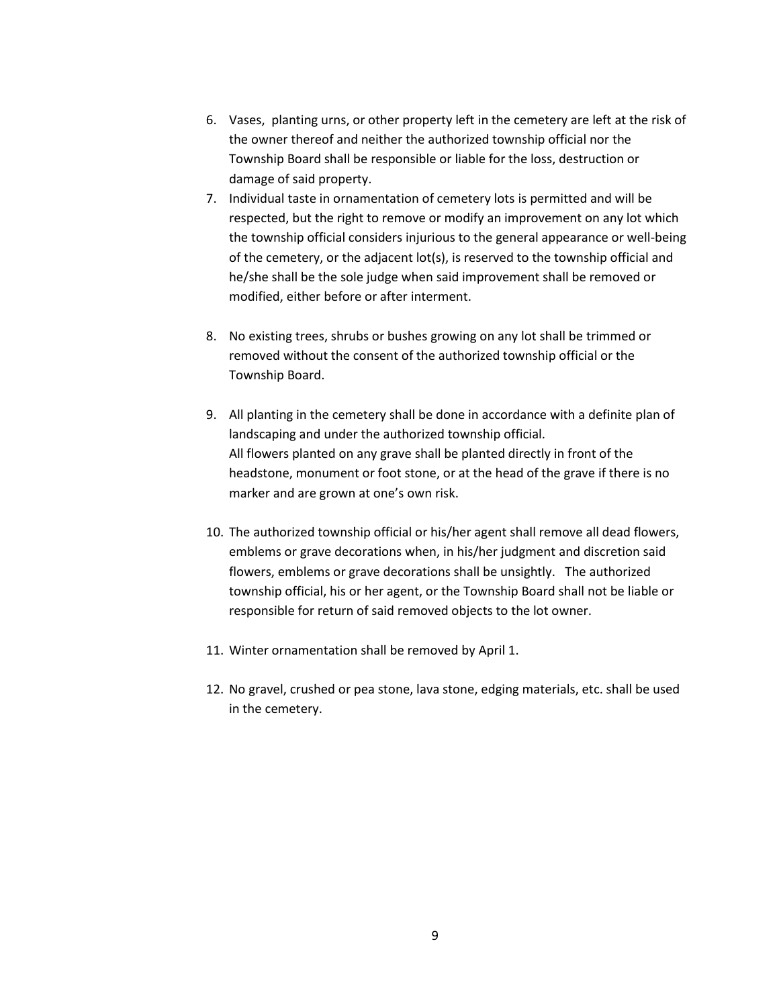- 6. Vases, planting urns, or other property left in the cemetery are left at the risk of the owner thereof and neither the authorized township official nor the Township Board shall be responsible or liable for the loss, destruction or damage of said property.
- 7. Individual taste in ornamentation of cemetery lots is permitted and will be respected, but the right to remove or modify an improvement on any lot which the township official considers injurious to the general appearance or well-being of the cemetery, or the adjacent lot(s), is reserved to the township official and he/she shall be the sole judge when said improvement shall be removed or modified, either before or after interment.
- 8. No existing trees, shrubs or bushes growing on any lot shall be trimmed or removed without the consent of the authorized township official or the Township Board.
- 9. All planting in the cemetery shall be done in accordance with a definite plan of landscaping and under the authorized township official. All flowers planted on any grave shall be planted directly in front of the headstone, monument or foot stone, or at the head of the grave if there is no marker and are grown at one's own risk.
- 10. The authorized township official or his/her agent shall remove all dead flowers, emblems or grave decorations when, in his/her judgment and discretion said flowers, emblems or grave decorations shall be unsightly. The authorized township official, his or her agent, or the Township Board shall not be liable or responsible for return of said removed objects to the lot owner.
- 11. Winter ornamentation shall be removed by April 1.
- 12. No gravel, crushed or pea stone, lava stone, edging materials, etc. shall be used in the cemetery.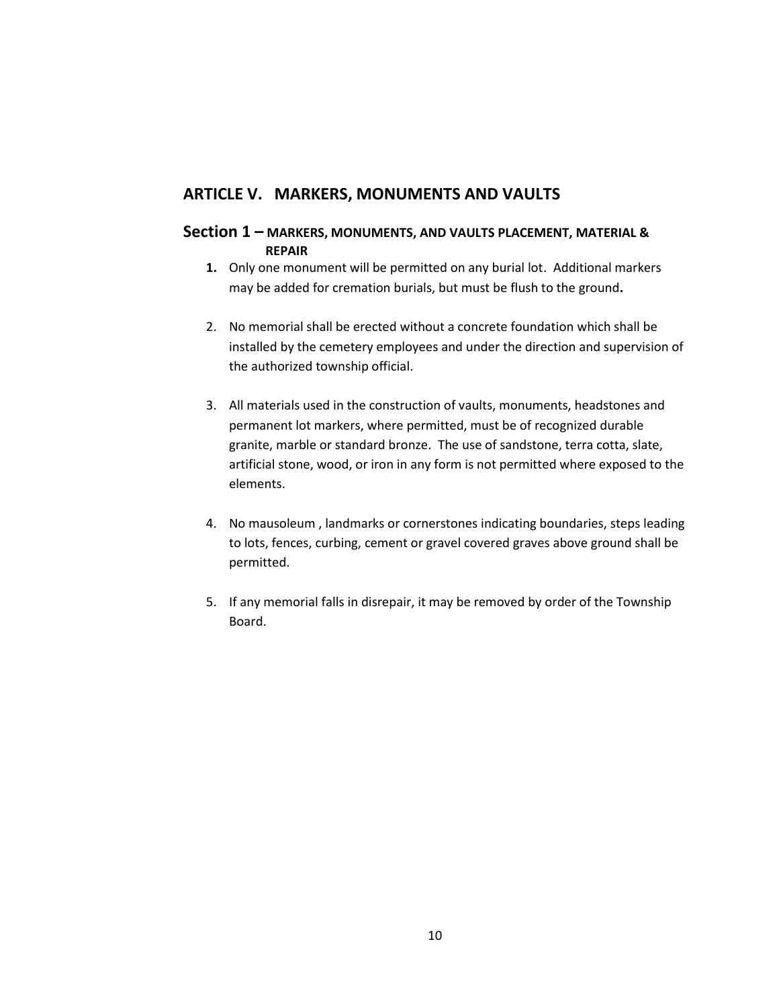# **ARTICLE V. MARKERS, MONUMENTS AND VAULTS**

### **Section 1 – MARKERS, MONUMENTS, AND VAULTS PLACEMENT, MATERIAL & REPAIR**

- **1.** Only one monument will be permitted on any burial lot. Additional markers may be added for cremation burials, but must be flush to the ground**.**
- 2. No memorial shall be erected without a concrete foundation which shall be installed by the cemetery employees and under the direction and supervision of the authorized township official.
- 3. All materials used in the construction of vaults, monuments, headstones and permanent lot markers, where permitted, must be of recognized durable granite, marble or standard bronze. The use of sandstone, terra cotta, slate, artificial stone, wood, or iron in any form is not permitted where exposed to the elements.
- 4. No mausoleum , landmarks or cornerstones indicating boundaries, steps leading to lots, fences, curbing, cement or gravel covered graves above ground shall be permitted.
- 5. If any memorial falls in disrepair, it may be removed by order of the Township Board.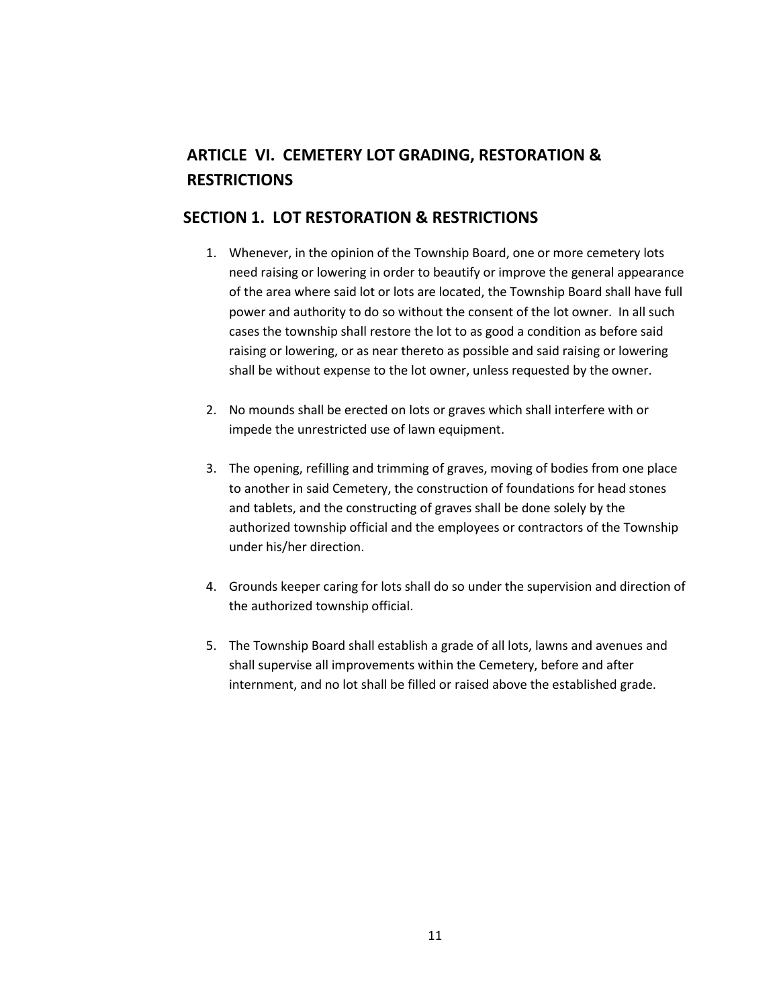# **ARTICLE VI. CEMETERY LOT GRADING, RESTORATION & RESTRICTIONS**

# **SECTION 1. LOT RESTORATION & RESTRICTIONS**

- 1. Whenever, in the opinion of the Township Board, one or more cemetery lots need raising or lowering in order to beautify or improve the general appearance of the area where said lot or lots are located, the Township Board shall have full power and authority to do so without the consent of the lot owner. In all such cases the township shall restore the lot to as good a condition as before said raising or lowering, or as near thereto as possible and said raising or lowering shall be without expense to the lot owner, unless requested by the owner.
- 2. No mounds shall be erected on lots or graves which shall interfere with or impede the unrestricted use of lawn equipment.
- 3. The opening, refilling and trimming of graves, moving of bodies from one place to another in said Cemetery, the construction of foundations for head stones and tablets, and the constructing of graves shall be done solely by the authorized township official and the employees or contractors of the Township under his/her direction.
- 4. Grounds keeper caring for lots shall do so under the supervision and direction of the authorized township official.
- 5. The Township Board shall establish a grade of all lots, lawns and avenues and shall supervise all improvements within the Cemetery, before and after internment, and no lot shall be filled or raised above the established grade.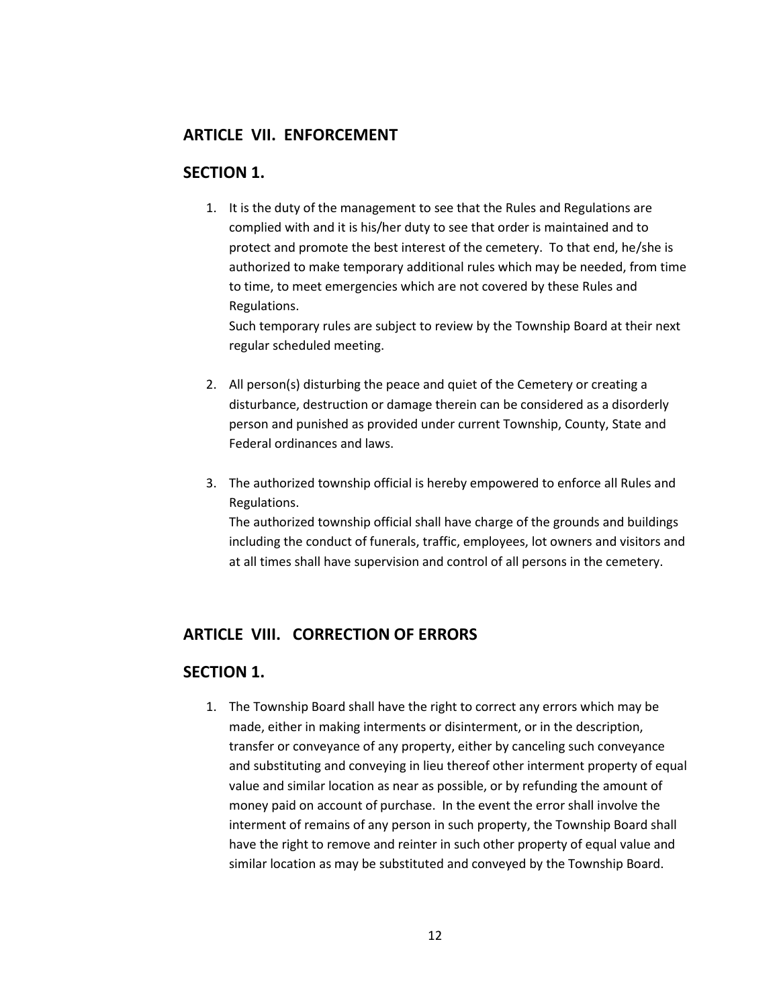### **ARTICLE VII. ENFORCEMENT**

### **SECTION 1.**

1. It is the duty of the management to see that the Rules and Regulations are complied with and it is his/her duty to see that order is maintained and to protect and promote the best interest of the cemetery. To that end, he/she is authorized to make temporary additional rules which may be needed, from time to time, to meet emergencies which are not covered by these Rules and Regulations.

Such temporary rules are subject to review by the Township Board at their next regular scheduled meeting.

- 2. All person(s) disturbing the peace and quiet of the Cemetery or creating a disturbance, destruction or damage therein can be considered as a disorderly person and punished as provided under current Township, County, State and Federal ordinances and laws.
- 3. The authorized township official is hereby empowered to enforce all Rules and Regulations.

The authorized township official shall have charge of the grounds and buildings including the conduct of funerals, traffic, employees, lot owners and visitors and at all times shall have supervision and control of all persons in the cemetery.

# **ARTICLE VIII. CORRECTION OF ERRORS**

# **SECTION 1.**

1. The Township Board shall have the right to correct any errors which may be made, either in making interments or disinterment, or in the description, transfer or conveyance of any property, either by canceling such conveyance and substituting and conveying in lieu thereof other interment property of equal value and similar location as near as possible, or by refunding the amount of money paid on account of purchase. In the event the error shall involve the interment of remains of any person in such property, the Township Board shall have the right to remove and reinter in such other property of equal value and similar location as may be substituted and conveyed by the Township Board.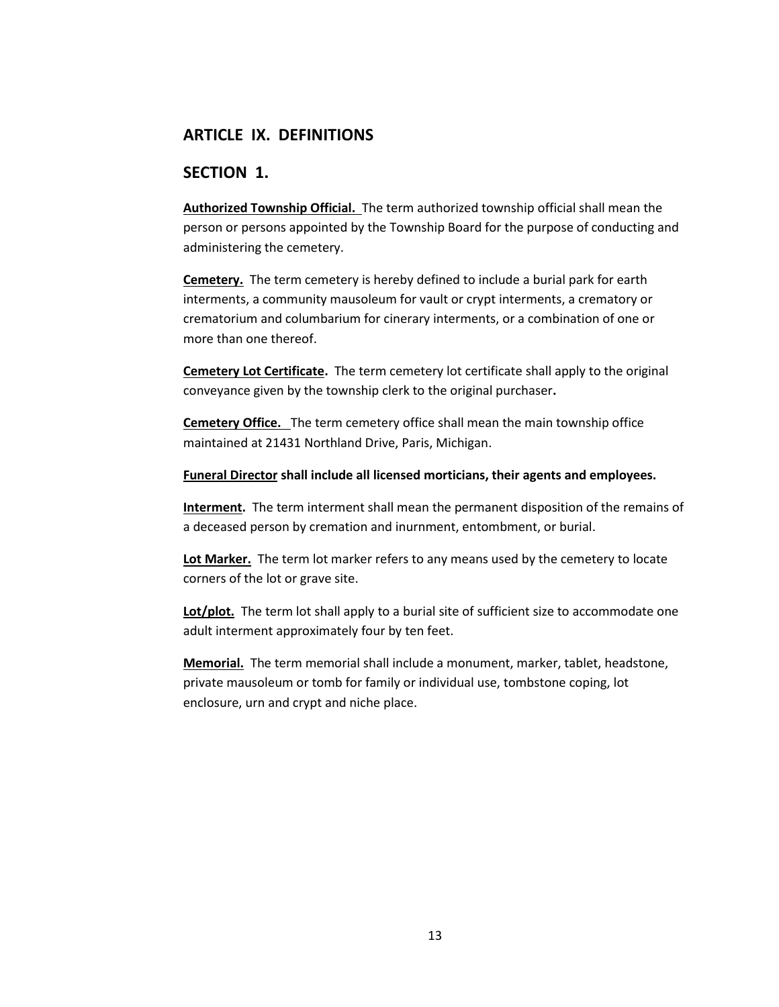# **ARTICLE IX. DEFINITIONS**

### **SECTION 1.**

**Authorized Township Official.** The term authorized township official shall mean the person or persons appointed by the Township Board for the purpose of conducting and administering the cemetery.

**Cemetery.** The term cemetery is hereby defined to include a burial park for earth interments, a community mausoleum for vault or crypt interments, a crematory or crematorium and columbarium for cinerary interments, or a combination of one or more than one thereof.

**Cemetery Lot Certificate.** The term cemetery lot certificate shall apply to the original conveyance given by the township clerk to the original purchaser**.** 

**Cemetery Office.** The term cemetery office shall mean the main township office maintained at 21431 Northland Drive, Paris, Michigan.

#### **Funeral Director shall include all licensed morticians, their agents and employees.**

**Interment.** The term interment shall mean the permanent disposition of the remains of a deceased person by cremation and inurnment, entombment, or burial.

**Lot Marker.** The term lot marker refers to any means used by the cemetery to locate corners of the lot or grave site.

Lot/plot. The term lot shall apply to a burial site of sufficient size to accommodate one adult interment approximately four by ten feet.

**Memorial.** The term memorial shall include a monument, marker, tablet, headstone, private mausoleum or tomb for family or individual use, tombstone coping, lot enclosure, urn and crypt and niche place.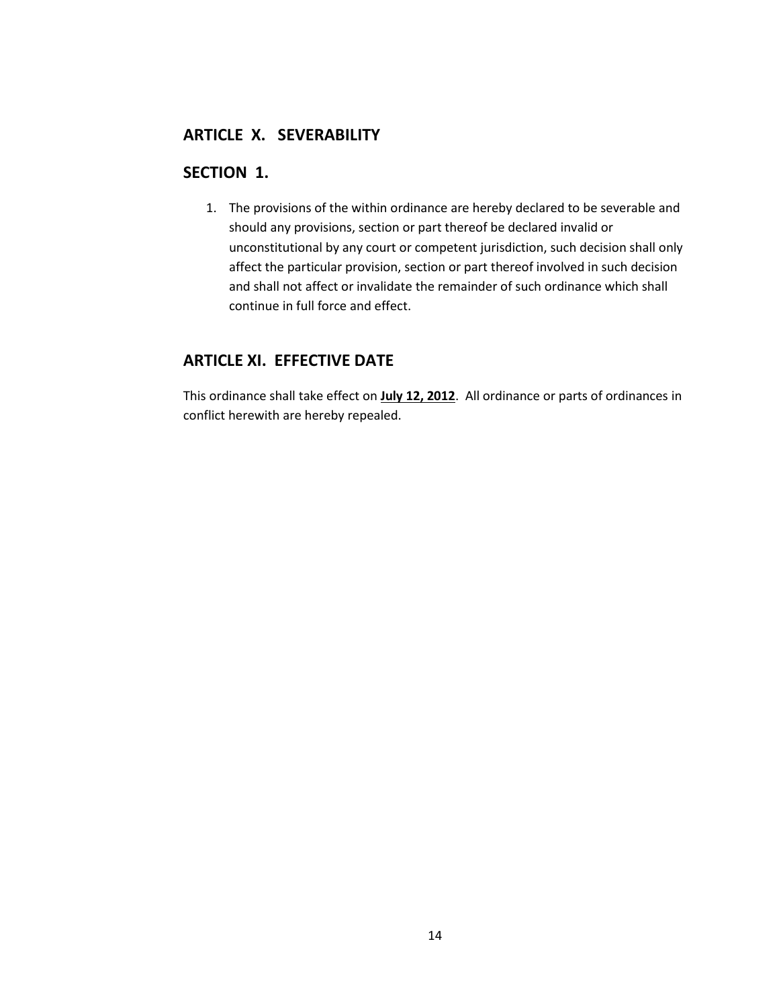# **ARTICLE X. SEVERABILITY**

# **SECTION 1.**

1. The provisions of the within ordinance are hereby declared to be severable and should any provisions, section or part thereof be declared invalid or unconstitutional by any court or competent jurisdiction, such decision shall only affect the particular provision, section or part thereof involved in such decision and shall not affect or invalidate the remainder of such ordinance which shall continue in full force and effect.

# **ARTICLE XI. EFFECTIVE DATE**

This ordinance shall take effect on **July 12, 2012**. All ordinance or parts of ordinances in conflict herewith are hereby repealed.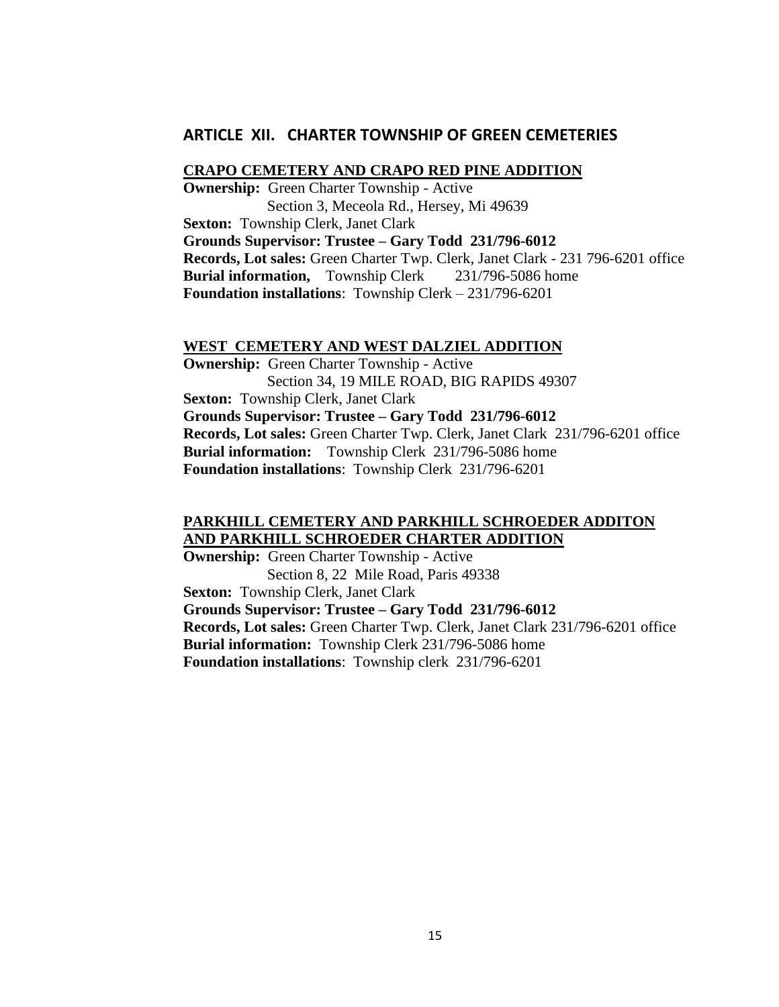#### **ARTICLE XII. CHARTER TOWNSHIP OF GREEN CEMETERIES**

#### **CRAPO CEMETERY AND CRAPO RED PINE ADDITION**

**Ownership:** Green Charter Township - Active Section 3, Meceola Rd., Hersey, Mi 49639 **Sexton:** Township Clerk, Janet Clark **Grounds Supervisor: Trustee – Gary Todd 231/796-6012 Records, Lot sales:** Green Charter Twp. Clerk, Janet Clark - 231 796-6201 office **Burial information,** Township Clerk 231/796-5086 home **Foundation installations**: Township Clerk – 231/796-6201

#### **WEST CEMETERY AND WEST DALZIEL ADDITION**

**Ownership:** Green Charter Township - Active Section 34, 19 MILE ROAD, BIG RAPIDS 49307 **Sexton:** Township Clerk, Janet Clark **Grounds Supervisor: Trustee – Gary Todd 231/796-6012 Records, Lot sales:** Green Charter Twp. Clerk, Janet Clark 231/796-6201 office **Burial information:** Township Clerk 231/796-5086 home **Foundation installations**: Township Clerk 231/796-6201

#### **PARKHILL CEMETERY AND PARKHILL SCHROEDER ADDITON AND PARKHILL SCHROEDER CHARTER ADDITION**

**Ownership:** Green Charter Township - Active Section 8, 22 Mile Road, Paris 49338 **Sexton:** Township Clerk, Janet Clark **Grounds Supervisor: Trustee – Gary Todd 231/796-6012 Records, Lot sales:** Green Charter Twp. Clerk, Janet Clark 231/796-6201 office **Burial information:** Township Clerk 231/796-5086 home **Foundation installations**: Township clerk 231/796-6201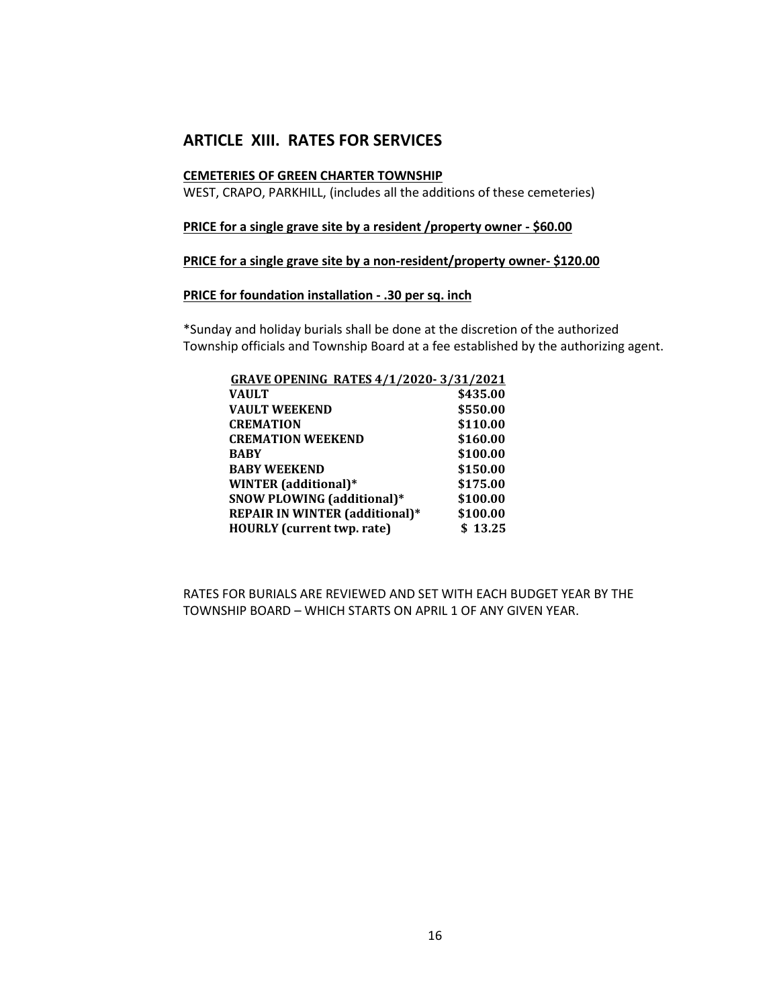# **ARTICLE XIII. RATES FOR SERVICES**

#### **CEMETERIES OF GREEN CHARTER TOWNSHIP**

WEST, CRAPO, PARKHILL, (includes all the additions of these cemeteries)

#### **PRICE for a single grave site by a resident /property owner - \$60.00**

#### **PRICE for a single grave site by a non-resident/property owner- \$120.00**

#### **PRICE for foundation installation - .30 per sq. inch**

\*Sunday and holiday burials shall be done at the discretion of the authorized Township officials and Township Board at a fee established by the authorizing agent.

| <b>GRAVE OPENING RATES 4/1/2020-3/31/2021</b> |
|-----------------------------------------------|
| \$435.00                                      |
| \$550.00                                      |
| \$110.00                                      |
| \$160.00                                      |
| \$100.00                                      |
| \$150.00                                      |
| \$175.00                                      |
| \$100.00                                      |
| \$100.00                                      |
| \$13.25                                       |
|                                               |

RATES FOR BURIALS ARE REVIEWED AND SET WITH EACH BUDGET YEAR BY THE TOWNSHIP BOARD – WHICH STARTS ON APRIL 1 OF ANY GIVEN YEAR.